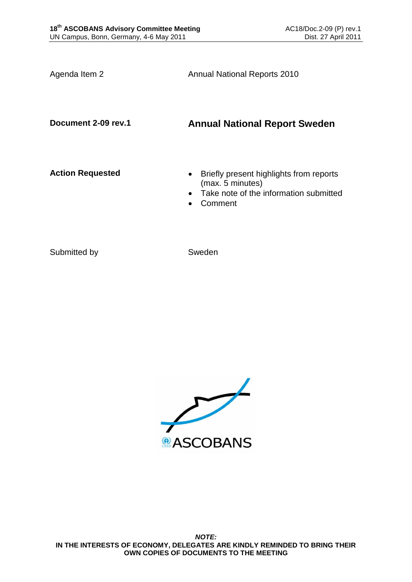Agenda Item 2 **Annual National Reports 2010** 

# **Document 2-09 rev.1 Annual National Report Sweden**

- **Action Requested Briefly present highlights from reports** (max. 5 minutes)
	- Take note of the information submitted
	- Comment

Submitted by Sweden

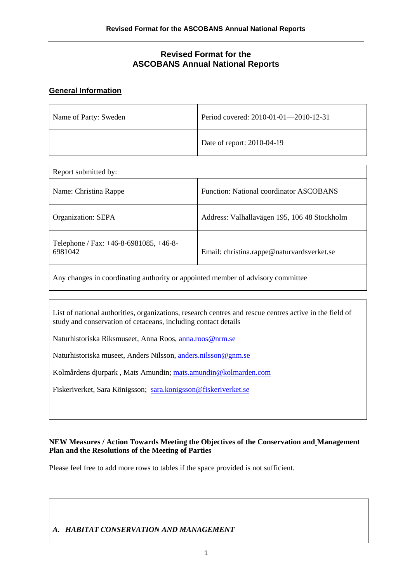## **Revised Format for the ASCOBANS Annual National Reports**

#### **General Information**

| Name of Party: Sweden | Period covered: 2010-01-01-2010-12-31 |
|-----------------------|---------------------------------------|
|                       | Date of report: 2010-04-19            |

| Report submitted by:                                   |                                                |  |
|--------------------------------------------------------|------------------------------------------------|--|
| Name: Christina Rappe                                  | <b>Function: National coordinator ASCOBANS</b> |  |
| Organization: SEPA                                     | Address: Valhallavägen 195, 106 48 Stockholm   |  |
| Telephone / Fax: $+46-8-6981085$ , $+46-8-$<br>6981042 | Email: christina.rappe@naturvardsverket.se     |  |

Any changes in coordinating authority or appointed member of advisory committee

List of national authorities, organizations, research centres and rescue centres active in the field of study and conservation of cetaceans, including contact details

Naturhistoriska Riksmuseet, Anna Roos, [anna.roos@nrm.se](mailto:anna.roos@nrm.se)

Naturhistoriska museet, Anders Nilsson, [anders.nilsson@gnm.se](mailto:anders.nilsson@gnm.se)

Kolmårdens djurpark , Mats Amundin; [mats.amundin@kolmarden.com](mailto:mats.amundin@kolmarden.com)

Fiskeriverket, Sara Königsson; [sara.konigsson@fiskeriverket.se](mailto:sara.konigsson@fiskeriverket.se)

#### **NEW Measures / Action Towards Meeting the Objectives of the Conservation and Management Plan and the Resolutions of the Meeting of Parties**

Please feel free to add more rows to tables if the space provided is not sufficient.

## *A. HABITAT CONSERVATION AND MANAGEMENT*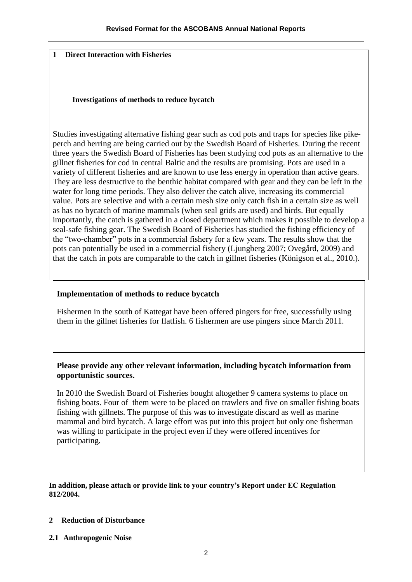#### **1 Direct Interaction with Fisheries**

#### **Investigations of methods to reduce bycatch**

Studies investigating alternative fishing gear such as cod pots and traps for species like pikeperch and herring are being carried out by the Swedish Board of Fisheries. During the recent three years the Swedish Board of Fisheries has been studying cod pots as an alternative to the gillnet fisheries for cod in central Baltic and the results are promising. Pots are used in a variety of different fisheries and are known to use less energy in operation than active gears. They are less destructive to the benthic habitat compared with gear and they can be left in the water for long time periods. They also deliver the catch alive, increasing its commercial value. Pots are selective and with a certain mesh size only catch fish in a certain size as well as has no bycatch of marine mammals (when seal grids are used) and birds. But equally importantly, the catch is gathered in a closed department which makes it possible to develop a seal-safe fishing gear. The Swedish Board of Fisheries has studied the fishing efficiency of the "two-chamber" pots in a commercial fishery for a few years. The results show that the pots can potentially be used in a commercial fishery (Ljungberg 2007; Ovegård, 2009) and that the catch in pots are comparable to the catch in gillnet fisheries (Königson et al., 2010.).

## **Implementation of methods to reduce bycatch**

Fishermen in the south of Kattegat have been offered pingers for free, successfully using them in the gillnet fisheries for flatfish. 6 fishermen are use pingers since March 2011.

### **Please provide any other relevant information, including bycatch information from opportunistic sources.**

In 2010 the Swedish Board of Fisheries bought altogether 9 camera systems to place on fishing boats. Four of them were to be placed on trawlers and five on smaller fishing boats fishing with gillnets. The purpose of this was to investigate discard as well as marine mammal and bird bycatch. A large effort was put into this project but only one fisherman was willing to participate in the project even if they were offered incentives for participating.

#### **In addition, please attach or provide link to your country's Report under EC Regulation 812/2004.**

#### **2 Reduction of Disturbance**

**2.1 Anthropogenic Noise**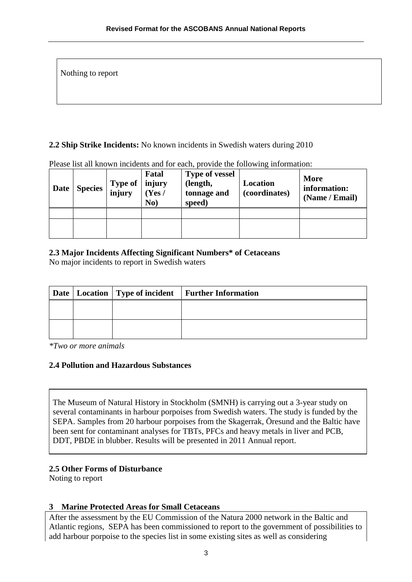Nothing to report

### **2.2 Ship Strike Incidents:** No known incidents in Swedish waters during 2010

| <b>Date</b> | <b>Species</b> | Type of<br>injury | Fatal<br>injury<br>(Yes /<br>No) | <b>Type of vessel</b><br>(length,<br>tonnage and<br>speed) | Location<br>(coordinates) | <b>More</b><br>information:<br>(Name / Email) |
|-------------|----------------|-------------------|----------------------------------|------------------------------------------------------------|---------------------------|-----------------------------------------------|
|             |                |                   |                                  |                                                            |                           |                                               |
|             |                |                   |                                  |                                                            |                           |                                               |

Please list all known incidents and for each, provide the following information:

### **2.3 Major Incidents Affecting Significant Numbers\* of Cetaceans**

No major incidents to report in Swedish waters

|  | Date   Location   Type of incident   Further Information |
|--|----------------------------------------------------------|
|  |                                                          |
|  |                                                          |
|  |                                                          |

*\*Two or more animals*

## **2.4 Pollution and Hazardous Substances**

The Museum of Natural History in Stockholm (SMNH) is carrying out a 3-year study on several contaminants in harbour porpoises from Swedish waters. The study is funded by the SEPA. Samples from 20 harbour porpoises from the Skagerrak, Öresund and the Baltic have been sent for contaminant analyses for TBTs, PFCs and heavy metals in liver and PCB, DDT, PBDE in blubber. Results will be presented in 2011 Annual report.

## **2.5 Other Forms of Disturbance**

Noting to report

## **3 Marine Protected Areas for Small Cetaceans**

After the assessment by the EU Commission of the Natura 2000 network in the Baltic and Atlantic regions, SEPA has been commissioned to report to the government of possibilities to add harbour porpoise to the species list in some existing sites as well as considering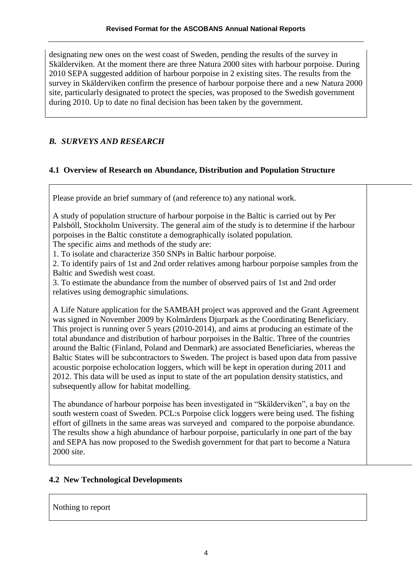designating new ones on the west coast of Sweden, pending the results of the survey in Skälderviken. At the moment there are three Natura 2000 sites with harbour porpoise. During 2010 SEPA suggested addition of harbour porpoise in 2 existing sites. The results from the survey in Skälderviken confirm the presence of harbour porpoise there and a new Natura 2000 site, particularly designated to protect the species, was proposed to the Swedish government during 2010. Up to date no final decision has been taken by the government.

# *B. SURVEYS AND RESEARCH*

# **4.1 Overview of Research on Abundance, Distribution and Population Structure**

Please provide an brief summary of (and reference to) any national work.

A study of population structure of harbour porpoise in the Baltic is carried out by Per Palsböll, Stockholm University. The general aim of the study is to determine if the harbour porpoises in the Baltic constitute a demographically isolated population.

The specific aims and methods of the study are:

1. To isolate and characterize 350 SNPs in Baltic harbour porpoise.

2. To identify pairs of 1st and 2nd order relatives among harbour porpoise samples from the Baltic and Swedish west coast.

3. To estimate the abundance from the number of observed pairs of 1st and 2nd order relatives using demographic simulations.

A Life Nature application for the SAMBAH project was approved and the Grant Agreement was signed in November 2009 by Kolmårdens Djurpark as the Coordinating Beneficiary. This project is running over 5 years (2010-2014), and aims at producing an estimate of the total abundance and distribution of harbour porpoises in the Baltic. Three of the countries around the Baltic (Finland, Poland and Denmark) are associated Beneficiaries, whereas the Baltic States will be subcontractors to Sweden. The project is based upon data from passive acoustic porpoise echolocation loggers, which will be kept in operation during 2011 and 2012. This data will be used as input to state of the art population density statistics, and subsequently allow for habitat modelling.

The abundance of harbour porpoise has been investigated in "Skälderviken", a bay on the south western coast of Sweden. PCL:s Porpoise click loggers were being used. The fishing effort of gillnets in the same areas was surveyed and compared to the porpoise abundance. The results show a high abundance of harbour porpoise, particularly in one part of the bay and SEPA has now proposed to the Swedish government for that part to become a Natura 2000 site.

# **4.2 New Technological Developments**

Nothing to report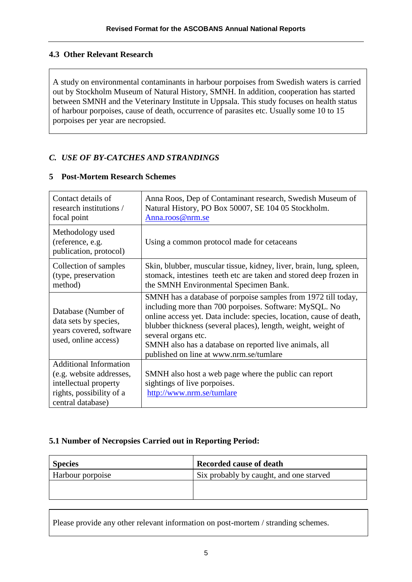# **4.3 Other Relevant Research**

A study on environmental contaminants in harbour porpoises from Swedish waters is carried out by Stockholm Museum of Natural History, SMNH. In addition, cooperation has started between SMNH and the Veterinary Institute in Uppsala. This study focuses on health status of harbour porpoises, cause of death, occurrence of parasites etc. Usually some 10 to 15 porpoises per year are necropsied.

# *C. USE OF BY-CATCHES AND STRANDINGS*

| Contact details of<br>research institutions /<br>focal point                                                                        | Anna Roos, Dep of Contaminant research, Swedish Museum of<br>Natural History, PO Box 50007, SE 104 05 Stockholm.<br>Anna.roos@nrm.se                                                                                                                                                                                                                                                        |
|-------------------------------------------------------------------------------------------------------------------------------------|---------------------------------------------------------------------------------------------------------------------------------------------------------------------------------------------------------------------------------------------------------------------------------------------------------------------------------------------------------------------------------------------|
| Methodology used<br>(reference, e.g.<br>publication, protocol)                                                                      | Using a common protocol made for cetaceans                                                                                                                                                                                                                                                                                                                                                  |
| Collection of samples<br>(type, preservation<br>method)                                                                             | Skin, blubber, muscular tissue, kidney, liver, brain, lung, spleen,<br>stomack, intestines teeth etc are taken and stored deep frozen in<br>the SMNH Environmental Specimen Bank.                                                                                                                                                                                                           |
| Database (Number of<br>data sets by species,<br>years covered, software<br>used, online access)                                     | SMNH has a database of porpoise samples from 1972 till today,<br>including more than 700 porpoises. Software: MySQL. No<br>online access yet. Data include: species, location, cause of death,<br>blubber thickness (several places), length, weight, weight of<br>several organs etc.<br>SMNH also has a database on reported live animals, all<br>published on line at www.nrm.se/tumlare |
| <b>Additional Information</b><br>(e.g. website addresses,<br>intellectual property<br>rights, possibility of a<br>central database) | SMNH also host a web page where the public can report<br>sightings of live porpoises.<br>http://www.nrm.se/tumlare                                                                                                                                                                                                                                                                          |

### **5 Post-Mortem Research Schemes**

# **5.1 Number of Necropsies Carried out in Reporting Period:**

| <b>Species</b>   | <b>Recorded cause of death</b>          |
|------------------|-----------------------------------------|
| Harbour porpoise | Six probably by caught, and one starved |
|                  |                                         |
|                  |                                         |

Please provide any other relevant information on post-mortem / stranding schemes.